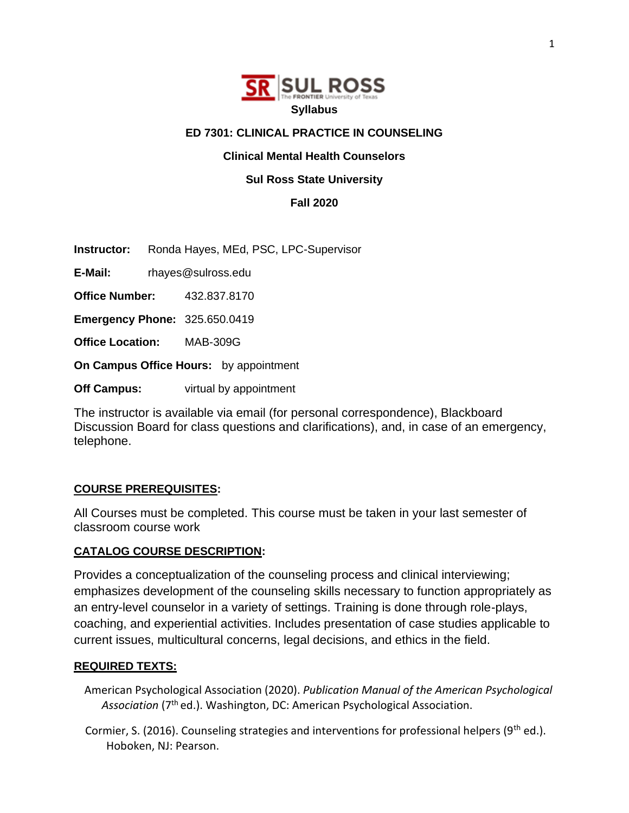

## **ED 7301: CLINICAL PRACTICE IN COUNSELING**

## **Clinical Mental Health Counselors**

## **Sul Ross State University**

**Fall 2020**

**Instructor:** Ronda Hayes, MEd, PSC, LPC-Supervisor

**E-Mail:** rhayes@sulross.edu

**Office Number:** 432.837.8170

**Emergency Phone:** 325.650.0419

**Office Location:** MAB-309G

**On Campus Office Hours:** by appointment

**Off Campus:** virtual by appointment

The instructor is available via email (for personal correspondence), Blackboard Discussion Board for class questions and clarifications), and, in case of an emergency, telephone.

## **COURSE PREREQUISITES:**

All Courses must be completed. This course must be taken in your last semester of classroom course work

### **CATALOG COURSE DESCRIPTION:**

Provides a conceptualization of the counseling process and clinical interviewing; emphasizes development of the counseling skills necessary to function appropriately as an entry-level counselor in a variety of settings. Training is done through role-plays, coaching, and experiential activities. Includes presentation of case studies applicable to current issues, multicultural concerns, legal decisions, and ethics in the field.

### **REQUIRED TEXTS:**

American Psychological Association (2020). *Publication Manual of the American Psychological*  Association (7<sup>th</sup> ed.). Washington, DC: American Psychological Association.

Cormier, S. (2016). Counseling strategies and interventions for professional helpers ( $9<sup>th</sup>$  ed.). Hoboken, NJ: Pearson.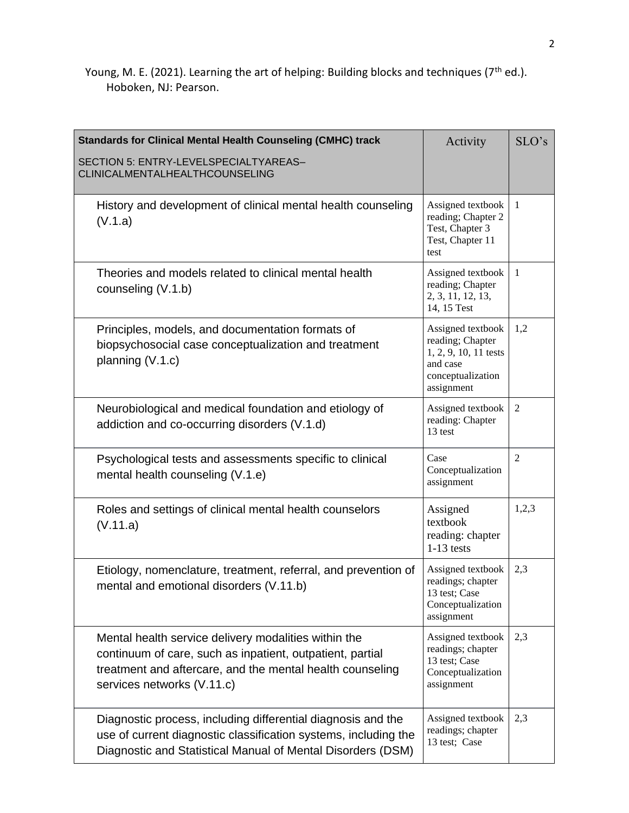Young, M. E. (2021). Learning the art of helping: Building blocks and techniques (7<sup>th</sup> ed.). Hoboken, NJ: Pearson.

| <b>Standards for Clinical Mental Health Counseling (CMHC) track</b>                                                                                                                                          | Activity                                                                                                      | SLO's          |
|--------------------------------------------------------------------------------------------------------------------------------------------------------------------------------------------------------------|---------------------------------------------------------------------------------------------------------------|----------------|
| SECTION 5: ENTRY-LEVELSPECIALTYAREAS-<br>CLINICALMENTALHEALTHCOUNSELING                                                                                                                                      |                                                                                                               |                |
| History and development of clinical mental health counseling<br>(V.1.a)                                                                                                                                      | Assigned textbook<br>reading; Chapter 2<br>Test, Chapter 3<br>Test, Chapter 11<br>test                        | 1              |
| Theories and models related to clinical mental health<br>counseling (V.1.b)                                                                                                                                  | Assigned textbook<br>reading; Chapter<br>2, 3, 11, 12, 13,<br>14, 15 Test                                     | $\mathbf{1}$   |
| Principles, models, and documentation formats of<br>biopsychosocial case conceptualization and treatment<br>planning (V.1.c)                                                                                 | Assigned textbook<br>reading; Chapter<br>1, 2, 9, 10, 11 tests<br>and case<br>conceptualization<br>assignment | 1,2            |
| Neurobiological and medical foundation and etiology of<br>addiction and co-occurring disorders (V.1.d)                                                                                                       | Assigned textbook<br>reading: Chapter<br>13 test                                                              | $\overline{2}$ |
| Psychological tests and assessments specific to clinical<br>mental health counseling (V.1.e)                                                                                                                 | Case<br>Conceptualization<br>assignment                                                                       | $\overline{c}$ |
| Roles and settings of clinical mental health counselors<br>(V.11.a)                                                                                                                                          | Assigned<br>textbook<br>reading: chapter<br>$1-13$ tests                                                      | 1,2,3          |
| Etiology, nomenclature, treatment, referral, and prevention of<br>mental and emotional disorders (V.11.b)                                                                                                    | Assigned textbook<br>readings; chapter<br>13 test; Case<br>Conceptualization<br>assignment                    | 2,3            |
| Mental health service delivery modalities within the<br>continuum of care, such as inpatient, outpatient, partial<br>treatment and aftercare, and the mental health counseling<br>services networks (V.11.c) | Assigned textbook<br>readings; chapter<br>13 test; Case<br>Conceptualization<br>assignment                    | 2,3            |
| Diagnostic process, including differential diagnosis and the<br>use of current diagnostic classification systems, including the<br>Diagnostic and Statistical Manual of Mental Disorders (DSM)               | Assigned textbook<br>readings; chapter<br>13 test; Case                                                       | 2,3            |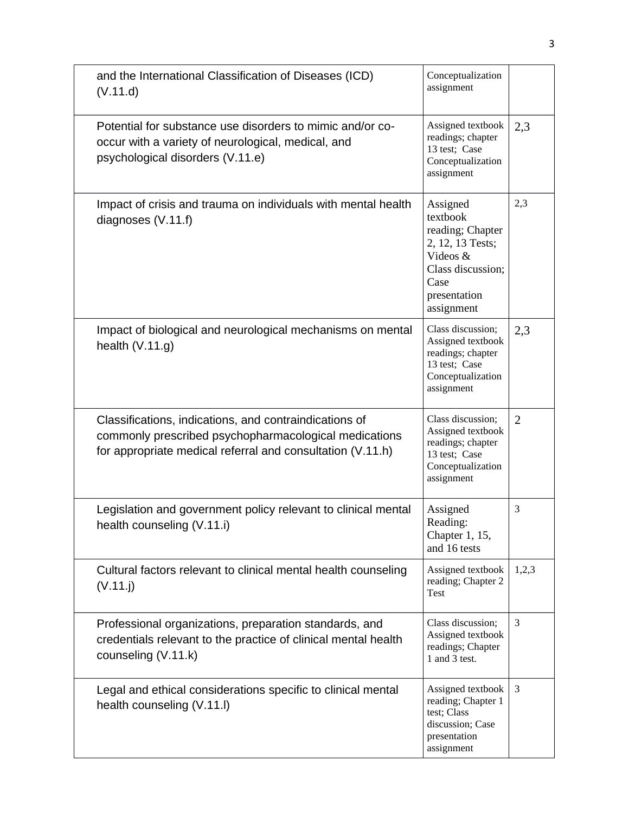| and the International Classification of Diseases (ICD)<br>(V.11.d)                                                                                                            | Conceptualization<br>assignment                                                                                                     |                |
|-------------------------------------------------------------------------------------------------------------------------------------------------------------------------------|-------------------------------------------------------------------------------------------------------------------------------------|----------------|
| Potential for substance use disorders to mimic and/or co-<br>occur with a variety of neurological, medical, and<br>psychological disorders (V.11.e)                           | Assigned textbook<br>readings; chapter<br>13 test; Case<br>Conceptualization<br>assignment                                          | 2,3            |
| Impact of crisis and trauma on individuals with mental health<br>diagnoses $(V.11.f)$                                                                                         | Assigned<br>textbook<br>reading; Chapter<br>2, 12, 13 Tests;<br>Videos &<br>Class discussion;<br>Case<br>presentation<br>assignment | 2,3            |
| Impact of biological and neurological mechanisms on mental<br>health $(V.11.g)$                                                                                               | Class discussion;<br>Assigned textbook<br>readings; chapter<br>13 test; Case<br>Conceptualization<br>assignment                     | 2,3            |
| Classifications, indications, and contraindications of<br>commonly prescribed psychopharmacological medications<br>for appropriate medical referral and consultation (V.11.h) | Class discussion;<br>Assigned textbook<br>readings; chapter<br>13 test; Case<br>Conceptualization<br>assignment                     | $\overline{2}$ |
| Legislation and government policy relevant to clinical mental<br>health counseling (V.11.i)                                                                                   | Assigned<br>Reading:<br>Chapter 1, 15,<br>and 16 tests                                                                              | 3              |
| Cultural factors relevant to clinical mental health counseling<br>(V.11. j)                                                                                                   | Assigned textbook<br>reading; Chapter 2<br>Test                                                                                     | 1,2,3          |
| Professional organizations, preparation standards, and<br>credentials relevant to the practice of clinical mental health<br>counseling (V.11.k)                               | Class discussion;<br>Assigned textbook<br>readings; Chapter<br>1 and 3 test.                                                        | 3              |
| Legal and ethical considerations specific to clinical mental<br>health counseling (V.11.I)                                                                                    | Assigned textbook<br>reading; Chapter 1<br>test; Class<br>discussion; Case<br>presentation<br>assignment                            | 3              |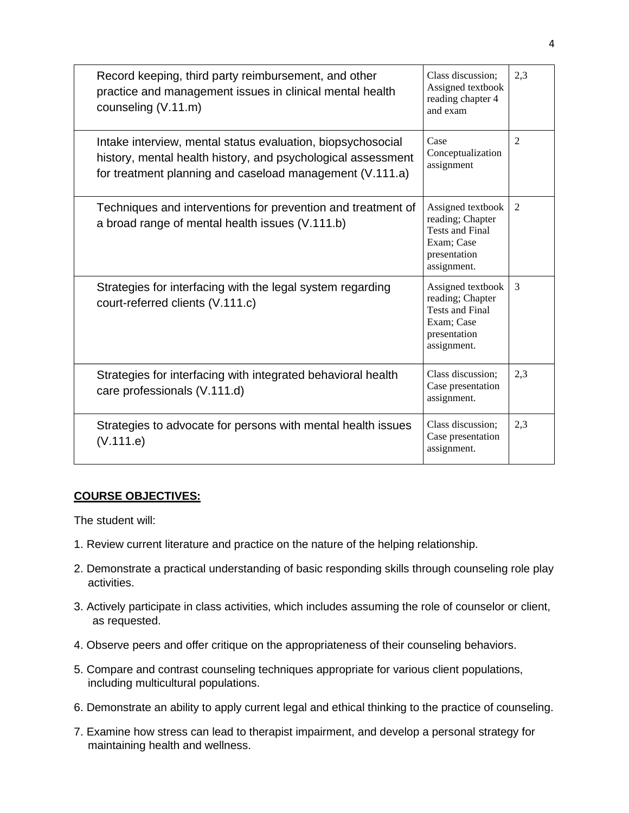| Record keeping, third party reimbursement, and other<br>practice and management issues in clinical mental health<br>counseling (V.11.m)                                                 | Class discussion;<br>Assigned textbook<br>reading chapter 4<br>and exam                                      | 2,3 |
|-----------------------------------------------------------------------------------------------------------------------------------------------------------------------------------------|--------------------------------------------------------------------------------------------------------------|-----|
| Intake interview, mental status evaluation, biopsychosocial<br>history, mental health history, and psychological assessment<br>for treatment planning and caseload management (V.111.a) | Case<br>Conceptualization<br>assignment                                                                      | 2   |
| Techniques and interventions for prevention and treatment of<br>a broad range of mental health issues (V.111.b)                                                                         | Assigned textbook<br>reading; Chapter<br><b>Tests and Final</b><br>Exam; Case<br>presentation<br>assignment. | 2   |
| Strategies for interfacing with the legal system regarding<br>court-referred clients (V.111.c)                                                                                          | Assigned textbook<br>reading; Chapter<br><b>Tests and Final</b><br>Exam; Case<br>presentation<br>assignment. | 3   |
| Strategies for interfacing with integrated behavioral health<br>care professionals (V.111.d)                                                                                            | Class discussion;<br>Case presentation<br>assignment.                                                        | 2,3 |
| Strategies to advocate for persons with mental health issues<br>(V.111.e)                                                                                                               | Class discussion;<br>Case presentation<br>assignment.                                                        | 2.3 |

# **COURSE OBJECTIVES:**

The student will:

- 1. Review current literature and practice on the nature of the helping relationship.
- 2. Demonstrate a practical understanding of basic responding skills through counseling role play activities.
- 3. Actively participate in class activities, which includes assuming the role of counselor or client, as requested.
- 4. Observe peers and offer critique on the appropriateness of their counseling behaviors.
- 5. Compare and contrast counseling techniques appropriate for various client populations, including multicultural populations.
- 6. Demonstrate an ability to apply current legal and ethical thinking to the practice of counseling.
- 7. Examine how stress can lead to therapist impairment, and develop a personal strategy for maintaining health and wellness.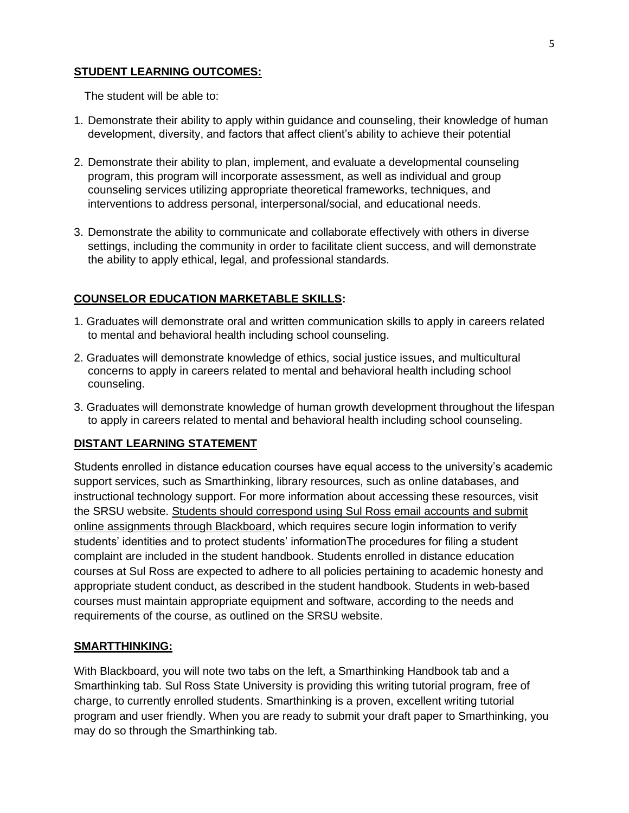## **STUDENT LEARNING OUTCOMES:**

The student will be able to:

- 1. Demonstrate their ability to apply within guidance and counseling, their knowledge of human development, diversity, and factors that affect client's ability to achieve their potential
- 2. Demonstrate their ability to plan, implement, and evaluate a developmental counseling program, this program will incorporate assessment, as well as individual and group counseling services utilizing appropriate theoretical frameworks, techniques, and interventions to address personal, interpersonal/social, and educational needs.
- 3. Demonstrate the ability to communicate and collaborate effectively with others in diverse settings, including the community in order to facilitate client success, and will demonstrate the ability to apply ethical, legal, and professional standards.

# **COUNSELOR EDUCATION MARKETABLE SKILLS:**

- 1. Graduates will demonstrate oral and written communication skills to apply in careers related to mental and behavioral health including school counseling.
- 2. Graduates will demonstrate knowledge of ethics, social justice issues, and multicultural concerns to apply in careers related to mental and behavioral health including school counseling.
- 3. Graduates will demonstrate knowledge of human growth development throughout the lifespan to apply in careers related to mental and behavioral health including school counseling.

# **DISTANT LEARNING STATEMENT**

Students enrolled in distance education courses have equal access to the university's academic support services, such as Smarthinking, library resources, such as online databases, and instructional technology support. For more information about accessing these resources, visit the SRSU website. Students should correspond using Sul Ross email accounts and submit online assignments through Blackboard, which requires secure login information to verify students' identities and to protect students' informationThe procedures for filing a student complaint are included in the student handbook. Students enrolled in distance education courses at Sul Ross are expected to adhere to all policies pertaining to academic honesty and appropriate student conduct, as described in the student handbook. Students in web-based courses must maintain appropriate equipment and software, according to the needs and requirements of the course, as outlined on the SRSU website.

## **SMARTTHINKING:**

With Blackboard, you will note two tabs on the left, a Smarthinking Handbook tab and a Smarthinking tab. Sul Ross State University is providing this writing tutorial program, free of charge, to currently enrolled students. Smarthinking is a proven, excellent writing tutorial program and user friendly. When you are ready to submit your draft paper to Smarthinking, you may do so through the Smarthinking tab.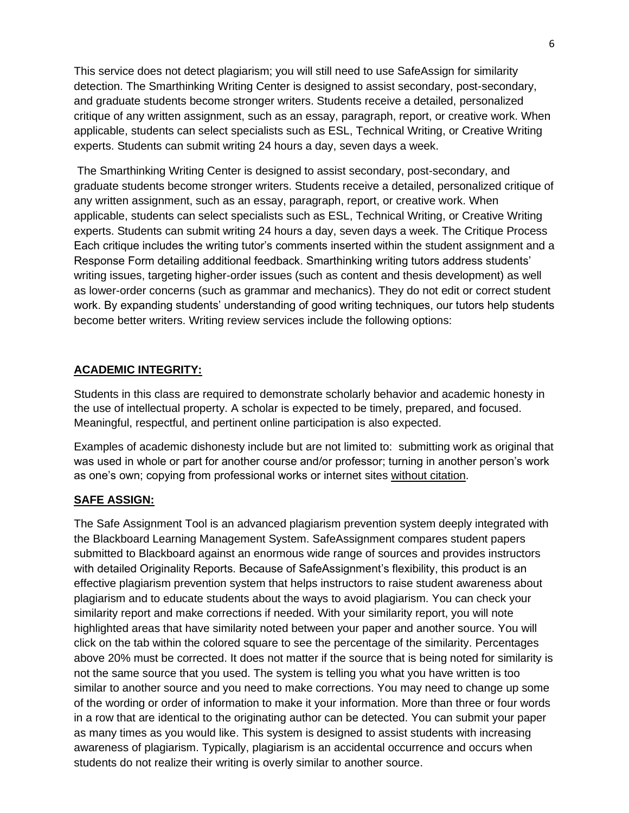This service does not detect plagiarism; you will still need to use SafeAssign for similarity detection. The Smarthinking Writing Center is designed to assist secondary, post-secondary, and graduate students become stronger writers. Students receive a detailed, personalized critique of any written assignment, such as an essay, paragraph, report, or creative work. When applicable, students can select specialists such as ESL, Technical Writing, or Creative Writing experts. Students can submit writing 24 hours a day, seven days a week.

The Smarthinking Writing Center is designed to assist secondary, post-secondary, and graduate students become stronger writers. Students receive a detailed, personalized critique of any written assignment, such as an essay, paragraph, report, or creative work. When applicable, students can select specialists such as ESL, Technical Writing, or Creative Writing experts. Students can submit writing 24 hours a day, seven days a week. The Critique Process Each critique includes the writing tutor's comments inserted within the student assignment and a Response Form detailing additional feedback. Smarthinking writing tutors address students' writing issues, targeting higher-order issues (such as content and thesis development) as well as lower-order concerns (such as grammar and mechanics). They do not edit or correct student work. By expanding students' understanding of good writing techniques, our tutors help students become better writers. Writing review services include the following options:

## **ACADEMIC INTEGRITY:**

Students in this class are required to demonstrate scholarly behavior and academic honesty in the use of intellectual property. A scholar is expected to be timely, prepared, and focused. Meaningful, respectful, and pertinent online participation is also expected.

Examples of academic dishonesty include but are not limited to: submitting work as original that was used in whole or part for another course and/or professor; turning in another person's work as one's own; copying from professional works or internet sites without citation.

## **SAFE ASSIGN:**

The Safe Assignment Tool is an advanced plagiarism prevention system deeply integrated with the Blackboard Learning Management System. SafeAssignment compares student papers submitted to Blackboard against an enormous wide range of sources and provides instructors with detailed Originality Reports. Because of SafeAssignment's flexibility, this product is an effective plagiarism prevention system that helps instructors to raise student awareness about plagiarism and to educate students about the ways to avoid plagiarism. You can check your similarity report and make corrections if needed. With your similarity report, you will note highlighted areas that have similarity noted between your paper and another source. You will click on the tab within the colored square to see the percentage of the similarity. Percentages above 20% must be corrected. It does not matter if the source that is being noted for similarity is not the same source that you used. The system is telling you what you have written is too similar to another source and you need to make corrections. You may need to change up some of the wording or order of information to make it your information. More than three or four words in a row that are identical to the originating author can be detected. You can submit your paper as many times as you would like. This system is designed to assist students with increasing awareness of plagiarism. Typically, plagiarism is an accidental occurrence and occurs when students do not realize their writing is overly similar to another source.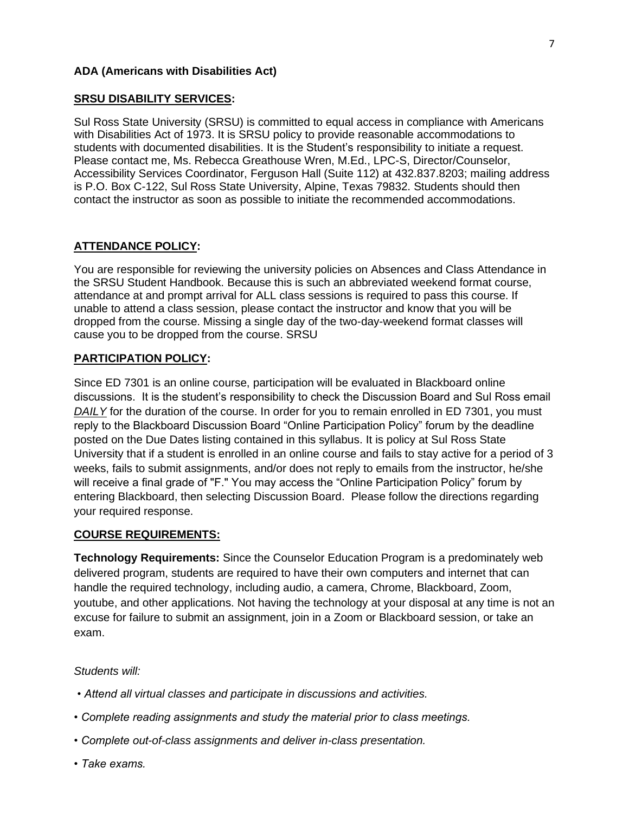## **ADA (Americans with Disabilities Act)**

### **SRSU DISABILITY SERVICES:**

Sul Ross State University (SRSU) is committed to equal access in compliance with Americans with Disabilities Act of 1973. It is SRSU policy to provide reasonable accommodations to students with documented disabilities. It is the Student's responsibility to initiate a request. Please contact me, Ms. Rebecca Greathouse Wren, M.Ed., LPC-S, Director/Counselor, Accessibility Services Coordinator, Ferguson Hall (Suite 112) at 432.837.8203; mailing address is P.O. Box C-122, Sul Ross State University, Alpine, Texas 79832. Students should then contact the instructor as soon as possible to initiate the recommended accommodations.

### **ATTENDANCE POLICY:**

You are responsible for reviewing the university policies on Absences and Class Attendance in the SRSU Student Handbook. Because this is such an abbreviated weekend format course, attendance at and prompt arrival for ALL class sessions is required to pass this course. If unable to attend a class session, please contact the instructor and know that you will be dropped from the course. Missing a single day of the two-day-weekend format classes will cause you to be dropped from the course. SRSU

### **PARTICIPATION POLICY:**

Since ED 7301 is an online course, participation will be evaluated in Blackboard online discussions. It is the student's responsibility to check the Discussion Board and Sul Ross email *DAILY* for the duration of the course. In order for you to remain enrolled in ED 7301, you must reply to the Blackboard Discussion Board "Online Participation Policy" forum by the deadline posted on the Due Dates listing contained in this syllabus. It is policy at Sul Ross State University that if a student is enrolled in an online course and fails to stay active for a period of 3 weeks, fails to submit assignments, and/or does not reply to emails from the instructor, he/she will receive a final grade of "F." You may access the "Online Participation Policy" forum by entering Blackboard, then selecting Discussion Board. Please follow the directions regarding your required response.

### **COURSE REQUIREMENTS:**

**Technology Requirements:** Since the Counselor Education Program is a predominately web delivered program, students are required to have their own computers and internet that can handle the required technology, including audio, a camera, Chrome, Blackboard, Zoom, youtube, and other applications. Not having the technology at your disposal at any time is not an excuse for failure to submit an assignment, join in a Zoom or Blackboard session, or take an exam.

### *Students will:*

- *Attend all virtual classes and participate in discussions and activities.*
- *Complete reading assignments and study the material prior to class meetings.*
- *Complete out-of-class assignments and deliver in-class presentation.*
- *Take exams.*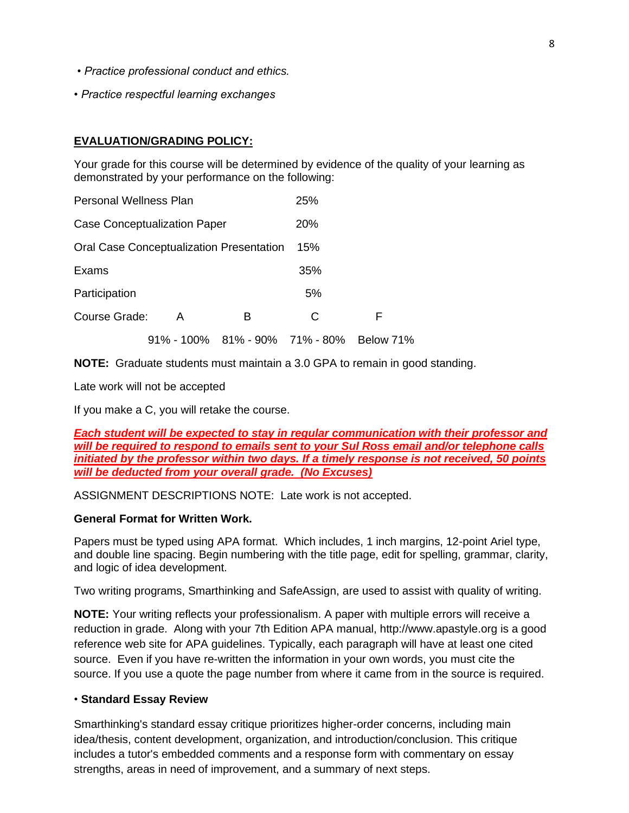- *Practice professional conduct and ethics.*
- *Practice respectful learning exchanges*

## **EVALUATION/GRADING POLICY:**

Your grade for this course will be determined by evidence of the quality of your learning as demonstrated by your performance on the following:

| <b>Personal Wellness Plan</b> |                                          |   | 25% |           |
|-------------------------------|------------------------------------------|---|-----|-----------|
|                               | <b>Case Conceptualization Paper</b>      |   | 20% |           |
|                               | Oral Case Conceptualization Presentation |   | 15% |           |
| Exams                         |                                          |   | 35% |           |
| Participation                 |                                          |   | 5%  |           |
| Course Grade:                 | A                                        | в | C   | F         |
|                               | 91% - 100% 81% - 90% 71% - 80%           |   |     | Below 71% |

**NOTE:** Graduate students must maintain a 3.0 GPA to remain in good standing.

Late work will not be accepted

If you make a C, you will retake the course.

*Each student will be expected to stay in regular communication with their professor and will be required to respond to emails sent to your Sul Ross email and/or telephone calls initiated by the professor within two days. If a timely response is not received, 50 points will be deducted from your overall grade. (No Excuses)*

ASSIGNMENT DESCRIPTIONS NOTE: Late work is not accepted.

### **General Format for Written Work.**

Papers must be typed using APA format. Which includes, 1 inch margins, 12-point Ariel type, and double line spacing. Begin numbering with the title page, edit for spelling, grammar, clarity, and logic of idea development.

Two writing programs, Smarthinking and SafeAssign, are used to assist with quality of writing.

**NOTE:** Your writing reflects your professionalism. A paper with multiple errors will receive a reduction in grade. Along with your 7th Edition APA manual, http://www.apastyle.org is a good reference web site for APA guidelines. Typically, each paragraph will have at least one cited source. Even if you have re-written the information in your own words, you must cite the source. If you use a quote the page number from where it came from in the source is required.

### • **Standard Essay Review**

Smarthinking's standard essay critique prioritizes higher-order concerns, including main idea/thesis, content development, organization, and introduction/conclusion. This critique includes a tutor's embedded comments and a response form with commentary on essay strengths, areas in need of improvement, and a summary of next steps.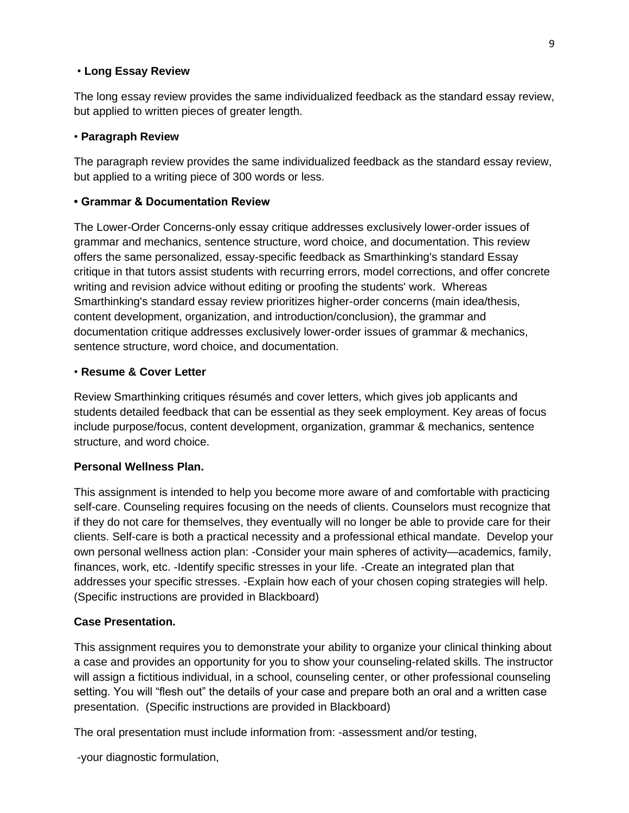### • **Long Essay Review**

The long essay review provides the same individualized feedback as the standard essay review, but applied to written pieces of greater length.

### • **Paragraph Review**

The paragraph review provides the same individualized feedback as the standard essay review, but applied to a writing piece of 300 words or less.

### **• Grammar & Documentation Review**

The Lower-Order Concerns-only essay critique addresses exclusively lower-order issues of grammar and mechanics, sentence structure, word choice, and documentation. This review offers the same personalized, essay-specific feedback as Smarthinking's standard Essay critique in that tutors assist students with recurring errors, model corrections, and offer concrete writing and revision advice without editing or proofing the students' work. Whereas Smarthinking's standard essay review prioritizes higher-order concerns (main idea/thesis, content development, organization, and introduction/conclusion), the grammar and documentation critique addresses exclusively lower-order issues of grammar & mechanics, sentence structure, word choice, and documentation.

### • **Resume & Cover Letter**

Review Smarthinking critiques résumés and cover letters, which gives job applicants and students detailed feedback that can be essential as they seek employment. Key areas of focus include purpose/focus, content development, organization, grammar & mechanics, sentence structure, and word choice.

### **Personal Wellness Plan.**

This assignment is intended to help you become more aware of and comfortable with practicing self-care. Counseling requires focusing on the needs of clients. Counselors must recognize that if they do not care for themselves, they eventually will no longer be able to provide care for their clients. Self-care is both a practical necessity and a professional ethical mandate. Develop your own personal wellness action plan: -Consider your main spheres of activity—academics, family, finances, work, etc. -Identify specific stresses in your life. -Create an integrated plan that addresses your specific stresses. -Explain how each of your chosen coping strategies will help. (Specific instructions are provided in Blackboard)

### **Case Presentation.**

This assignment requires you to demonstrate your ability to organize your clinical thinking about a case and provides an opportunity for you to show your counseling-related skills. The instructor will assign a fictitious individual, in a school, counseling center, or other professional counseling setting. You will "flesh out" the details of your case and prepare both an oral and a written case presentation. (Specific instructions are provided in Blackboard)

The oral presentation must include information from: -assessment and/or testing,

-your diagnostic formulation,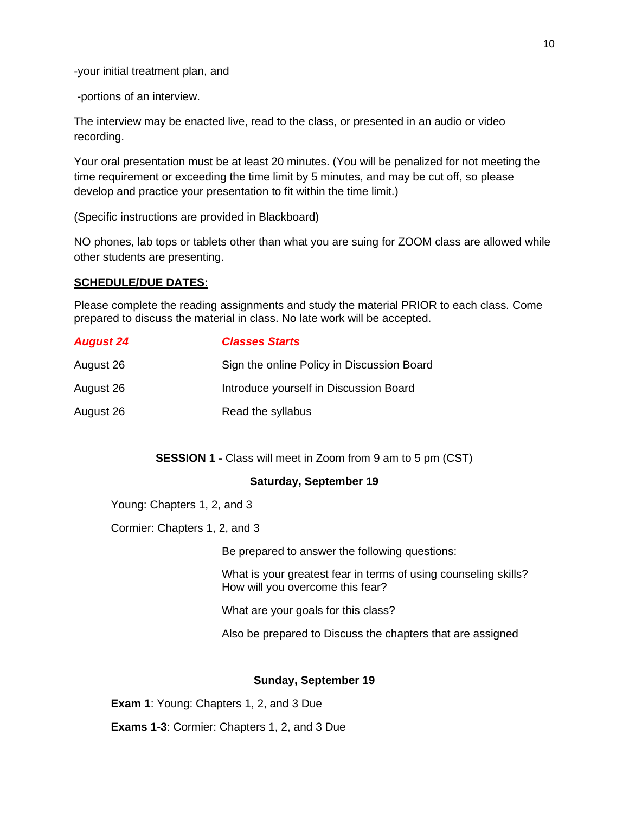-your initial treatment plan, and

-portions of an interview.

The interview may be enacted live, read to the class, or presented in an audio or video recording.

Your oral presentation must be at least 20 minutes. (You will be penalized for not meeting the time requirement or exceeding the time limit by 5 minutes, and may be cut off, so please develop and practice your presentation to fit within the time limit.)

(Specific instructions are provided in Blackboard)

NO phones, lab tops or tablets other than what you are suing for ZOOM class are allowed while other students are presenting.

### **SCHEDULE/DUE DATES:**

Please complete the reading assignments and study the material PRIOR to each class. Come prepared to discuss the material in class. No late work will be accepted.

| <b>August 24</b> | <b>Classes Starts</b>                      |
|------------------|--------------------------------------------|
| August 26        | Sign the online Policy in Discussion Board |
| August 26        | Introduce yourself in Discussion Board     |
| August 26        | Read the syllabus                          |

**SESSION 1 - Class will meet in Zoom from 9 am to 5 pm (CST)** 

#### **Saturday, September 19**

Young: Chapters 1, 2, and 3

Cormier: Chapters 1, 2, and 3

Be prepared to answer the following questions:

What is your greatest fear in terms of using counseling skills? How will you overcome this fear?

What are your goals for this class?

Also be prepared to Discuss the chapters that are assigned

#### **Sunday, September 19**

**Exam 1**: Young: Chapters 1, 2, and 3 Due

**Exams 1-3**: Cormier: Chapters 1, 2, and 3 Due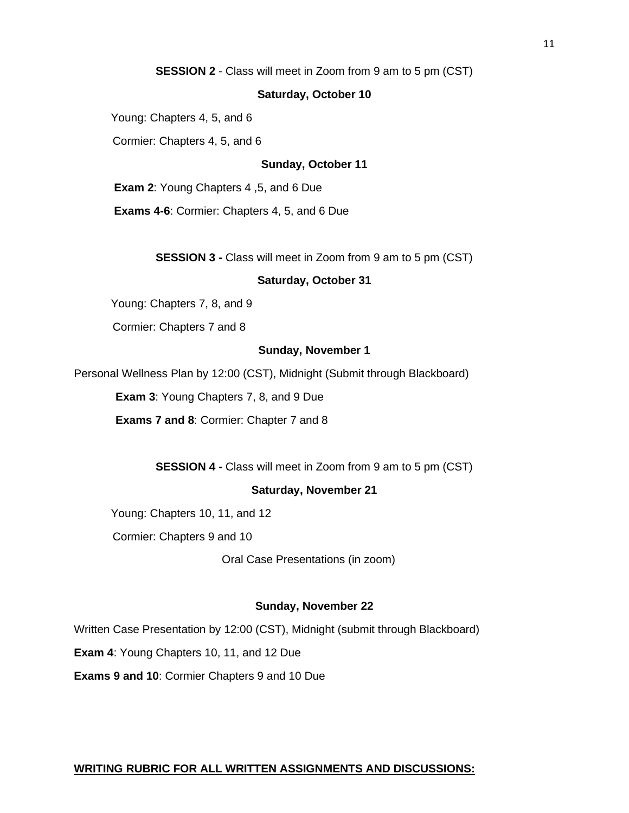**SESSION 2** - Class will meet in Zoom from 9 am to 5 pm (CST)

#### **Saturday, October 10**

Young: Chapters 4, 5, and 6

Cormier: Chapters 4, 5, and 6

#### **Sunday, October 11**

**Exam 2**: Young Chapters 4 ,5, and 6 Due

**Exams 4-6**: Cormier: Chapters 4, 5, and 6 Due

**SESSION 3 -** Class will meet in Zoom from 9 am to 5 pm (CST)

#### **Saturday, October 31**

Young: Chapters 7, 8, and 9

Cormier: Chapters 7 and 8

#### **Sunday, November 1**

Personal Wellness Plan by 12:00 (CST), Midnight (Submit through Blackboard)

**Exam 3**: Young Chapters 7, 8, and 9 Due

**Exams 7 and 8**: Cormier: Chapter 7 and 8

**SESSION 4 -** Class will meet in Zoom from 9 am to 5 pm (CST)

#### **Saturday, November 21**

Young: Chapters 10, 11, and 12

Cormier: Chapters 9 and 10

Oral Case Presentations (in zoom)

#### **Sunday, November 22**

Written Case Presentation by 12:00 (CST), Midnight (submit through Blackboard)

**Exam 4**: Young Chapters 10, 11, and 12 Due

**Exams 9 and 10**: Cormier Chapters 9 and 10 Due

#### **WRITING RUBRIC FOR ALL WRITTEN ASSIGNMENTS AND DISCUSSIONS:**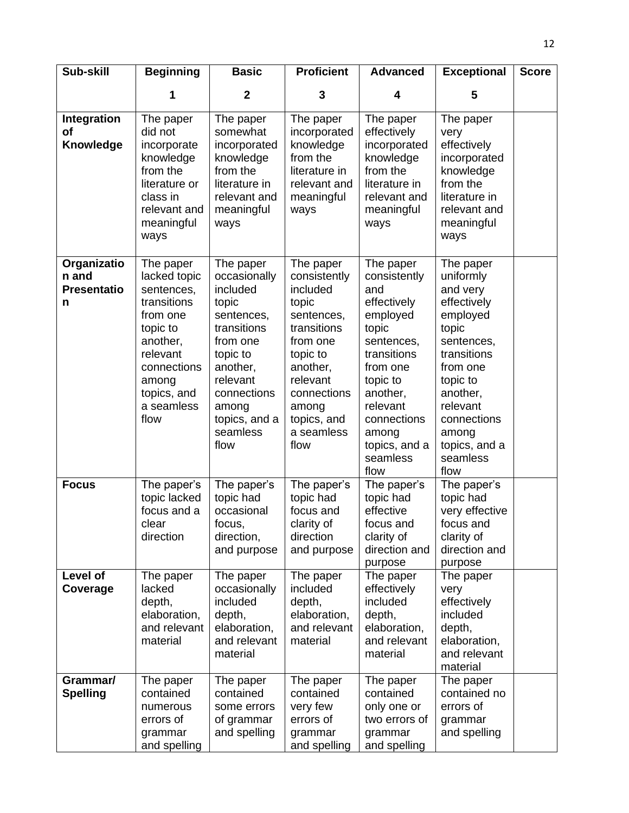| Sub-skill                                       | <b>Beginning</b>                                                                                                                                                    | <b>Basic</b>                                                                                                                                                                             | <b>Proficient</b>                                                                                                                                                                        | <b>Advanced</b>                                                                                                                                                                                                | <b>Exceptional</b>                                                                                                                                                                                               | <b>Score</b> |
|-------------------------------------------------|---------------------------------------------------------------------------------------------------------------------------------------------------------------------|------------------------------------------------------------------------------------------------------------------------------------------------------------------------------------------|------------------------------------------------------------------------------------------------------------------------------------------------------------------------------------------|----------------------------------------------------------------------------------------------------------------------------------------------------------------------------------------------------------------|------------------------------------------------------------------------------------------------------------------------------------------------------------------------------------------------------------------|--------------|
|                                                 |                                                                                                                                                                     | $\mathbf 2$                                                                                                                                                                              | 3                                                                                                                                                                                        | 4                                                                                                                                                                                                              | 5                                                                                                                                                                                                                |              |
| Integration<br>οf<br>Knowledge                  | The paper<br>did not<br>incorporate<br>knowledge<br>from the<br>literature or<br>class in<br>relevant and<br>meaningful<br>ways                                     | The paper<br>somewhat<br>incorporated<br>knowledge<br>from the<br>literature in<br>relevant and<br>meaningful<br>ways                                                                    | The paper<br>incorporated<br>knowledge<br>from the<br>literature in<br>relevant and<br>meaningful<br>ways                                                                                | The paper<br>effectively<br>incorporated<br>knowledge<br>from the<br>literature in<br>relevant and<br>meaningful<br>ways                                                                                       | The paper<br>very<br>effectively<br>incorporated<br>knowledge<br>from the<br>literature in<br>relevant and<br>meaningful<br>ways                                                                                 |              |
| Organizatio<br>n and<br><b>Presentatio</b><br>n | The paper<br>lacked topic<br>sentences,<br>transitions<br>from one<br>topic to<br>another,<br>relevant<br>connections<br>among<br>topics, and<br>a seamless<br>flow | The paper<br>occasionally<br>included<br>topic<br>sentences,<br>transitions<br>from one<br>topic to<br>another,<br>relevant<br>connections<br>among<br>topics, and a<br>seamless<br>flow | The paper<br>consistently<br>included<br>topic<br>sentences,<br>transitions<br>from one<br>topic to<br>another,<br>relevant<br>connections<br>among<br>topics, and<br>a seamless<br>flow | The paper<br>consistently<br>and<br>effectively<br>employed<br>topic<br>sentences,<br>transitions<br>from one<br>topic to<br>another,<br>relevant<br>connections<br>among<br>topics, and a<br>seamless<br>flow | The paper<br>uniformly<br>and very<br>effectively<br>employed<br>topic<br>sentences,<br>transitions<br>from one<br>topic to<br>another,<br>relevant<br>connections<br>among<br>topics, and a<br>seamless<br>flow |              |
| <b>Focus</b>                                    | The paper's<br>topic lacked<br>focus and a<br>clear<br>direction                                                                                                    | The paper's<br>topic had<br>occasional<br>focus,<br>direction,<br>and purpose                                                                                                            | The paper's<br>topic had<br>focus and<br>clarity of<br>direction<br>and purpose                                                                                                          | The paper's<br>topic had<br>effective<br>focus and<br>clarity of<br>direction and<br>purpose                                                                                                                   | The paper's<br>topic had<br>very effective<br>focus and<br>clarity of<br>direction and<br>purpose                                                                                                                |              |
| Level of<br>Coverage                            | The paper<br>lacked<br>depth,<br>elaboration,<br>and relevant<br>material                                                                                           | The paper<br>occasionally<br>included<br>depth,<br>elaboration,<br>and relevant<br>material                                                                                              | The paper<br>included<br>depth,<br>elaboration,<br>and relevant<br>material                                                                                                              | The paper<br>effectively<br>included<br>depth,<br>elaboration,<br>and relevant<br>material                                                                                                                     | The paper<br>very<br>effectively<br>included<br>depth,<br>elaboration,<br>and relevant<br>material                                                                                                               |              |
| Grammar/<br><b>Spelling</b>                     | The paper<br>contained<br>numerous<br>errors of<br>grammar<br>and spelling                                                                                          | The paper<br>contained<br>some errors<br>of grammar<br>and spelling                                                                                                                      | The paper<br>contained<br>very few<br>errors of<br>grammar<br>and spelling                                                                                                               | The paper<br>contained<br>only one or<br>two errors of<br>grammar<br>and spelling                                                                                                                              | The paper<br>contained no<br>errors of<br>grammar<br>and spelling                                                                                                                                                |              |